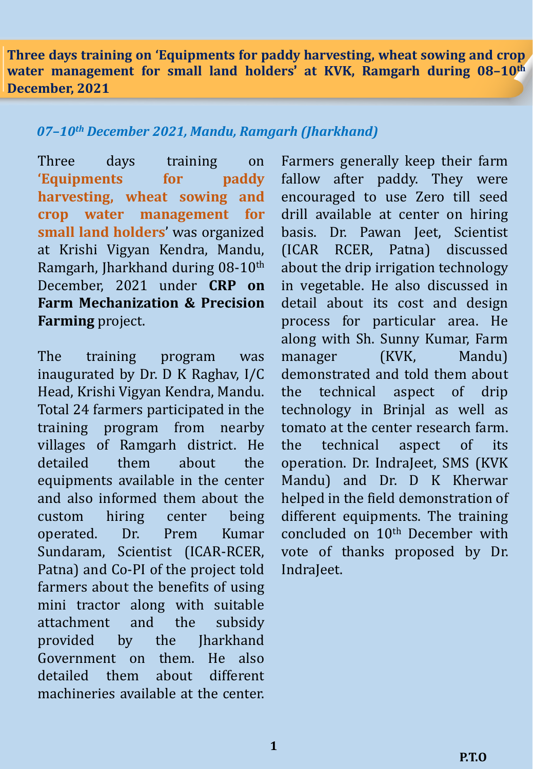**Three days training on 'Equipments for paddy harvesting, wheat sowing and crop water management for small land holders' at KVK, Ramgarh during 08–10th December, 2021**

#### *07–10th December 2021, Mandu, Ramgarh (Jharkhand)*

Three days training on **'Equipments for paddy harvesting, wheat sowing and crop water management for small land holders**' was organized at Krishi Vigyan Kendra, Mandu, Ramgarh, Jharkhand during 08-10th December, 2021 under **CRP on Farm Mechanization & Precision Farming** project.

The training program was inaugurated by Dr. D K Raghav, I/C Head, Krishi Vigyan Kendra, Mandu. Total 24 farmers participated in the training program from nearby villages of Ramgarh district. He detailed them about the equipments available in the center and also informed them about the custom hiring center being operated. Dr. Prem Kumar Sundaram, Scientist (ICAR-RCER, Patna) and Co-PI of the project told farmers about the benefits of using mini tractor along with suitable attachment and the subsidy provided by the Jharkhand Government on them. He also detailed them about different machineries available at the center.

Farmers generally keep their farm fallow after paddy. They were encouraged to use Zero till seed drill available at center on hiring basis. Dr. Pawan Jeet, Scientist (ICAR RCER, Patna) discussed about the drip irrigation technology in vegetable. He also discussed in detail about its cost and design process for particular area. He along with Sh. Sunny Kumar, Farm manager (KVK, Mandu) demonstrated and told them about the technical aspect of drip technology in Brinjal as well as tomato at the center research farm. the technical aspect of its operation. Dr. IndraJeet, SMS (KVK Mandu) and Dr. D K Kherwar helped in the field demonstration of different equipments. The training concluded on 10<sup>th</sup> December with vote of thanks proposed by Dr. IndraJeet.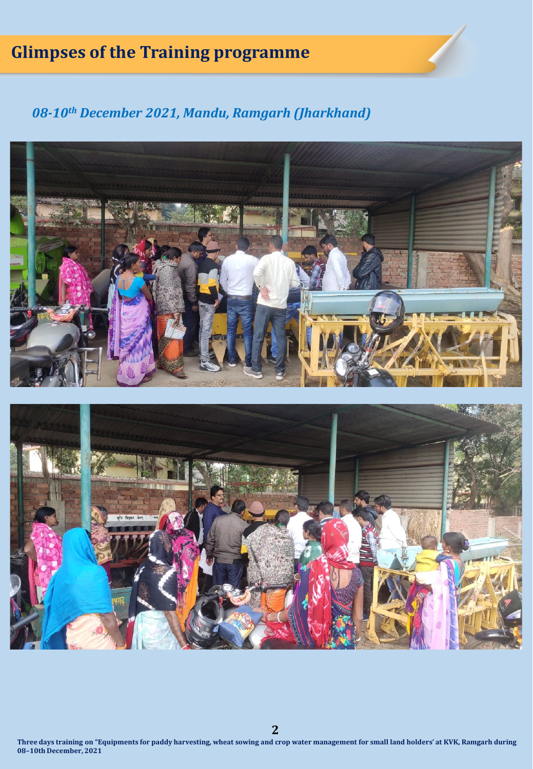# **Glimpses of the Training programme**

### *08-10th December 2021, Mandu, Ramgarh (Jharkhand)*



Three days training on "Equipments for paddy harvesting, wheat sowing and crop water management for small land holders' at KVK, Ramgarh during **08–10th December, 2021**